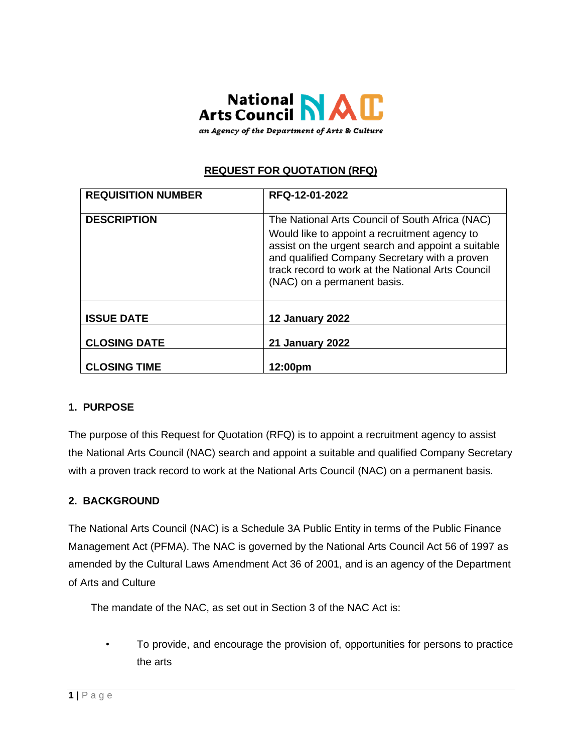

an Agency of the Department of Arts & Culture

# **REQUEST FOR QUOTATION (RFQ)**

| <b>REQUISITION NUMBER</b> | RFQ-12-01-2022                                                                                                                                                                                                                                                                              |
|---------------------------|---------------------------------------------------------------------------------------------------------------------------------------------------------------------------------------------------------------------------------------------------------------------------------------------|
| <b>DESCRIPTION</b>        | The National Arts Council of South Africa (NAC)<br>Would like to appoint a recruitment agency to<br>assist on the urgent search and appoint a suitable<br>and qualified Company Secretary with a proven<br>track record to work at the National Arts Council<br>(NAC) on a permanent basis. |
| <b>ISSUE DATE</b>         | <b>12 January 2022</b>                                                                                                                                                                                                                                                                      |
| <b>CLOSING DATE</b>       | <b>21 January 2022</b>                                                                                                                                                                                                                                                                      |
| <b>CLOSING TIME</b>       | 12:00pm                                                                                                                                                                                                                                                                                     |

### **1. PURPOSE**

The purpose of this Request for Quotation (RFQ) is to appoint a recruitment agency to assist the National Arts Council (NAC) search and appoint a suitable and qualified Company Secretary with a proven track record to work at the National Arts Council (NAC) on a permanent basis.

### **2. BACKGROUND**

The National Arts Council (NAC) is a Schedule 3A Public Entity in terms of the Public Finance Management Act (PFMA). The NAC is governed by the National Arts Council Act 56 of 1997 as amended by the Cultural Laws Amendment Act 36 of 2001, and is an agency of the Department of Arts and Culture

The mandate of the NAC, as set out in Section 3 of the NAC Act is:

• To provide, and encourage the provision of, opportunities for persons to practice the arts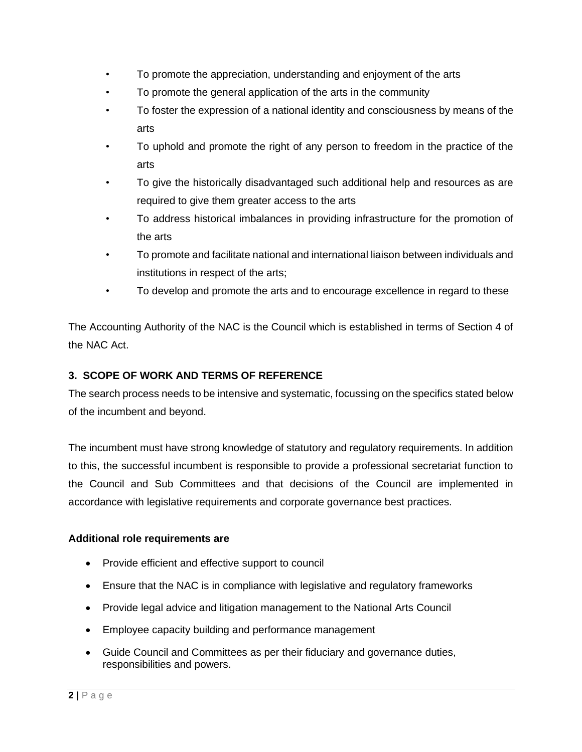- To promote the appreciation, understanding and enjoyment of the arts
- To promote the general application of the arts in the community
- To foster the expression of a national identity and consciousness by means of the arts
- To uphold and promote the right of any person to freedom in the practice of the arts
- To give the historically disadvantaged such additional help and resources as are required to give them greater access to the arts
- To address historical imbalances in providing infrastructure for the promotion of the arts
- To promote and facilitate national and international liaison between individuals and institutions in respect of the arts;
- To develop and promote the arts and to encourage excellence in regard to these

The Accounting Authority of the NAC is the Council which is established in terms of Section 4 of the NAC Act.

## **3. SCOPE OF WORK AND TERMS OF REFERENCE**

The search process needs to be intensive and systematic, focussing on the specifics stated below of the incumbent and beyond.

The incumbent must have strong knowledge of statutory and regulatory requirements. In addition to this, the successful incumbent is responsible to provide a professional secretariat function to the Council and Sub Committees and that decisions of the Council are implemented in accordance with legislative requirements and corporate governance best practices.

#### **Additional role requirements are**

- Provide efficient and effective support to council
- Ensure that the NAC is in compliance with legislative and regulatory frameworks
- Provide legal advice and litigation management to the National Arts Council
- Employee capacity building and performance management
- Guide Council and Committees as per their fiduciary and governance duties, responsibilities and powers.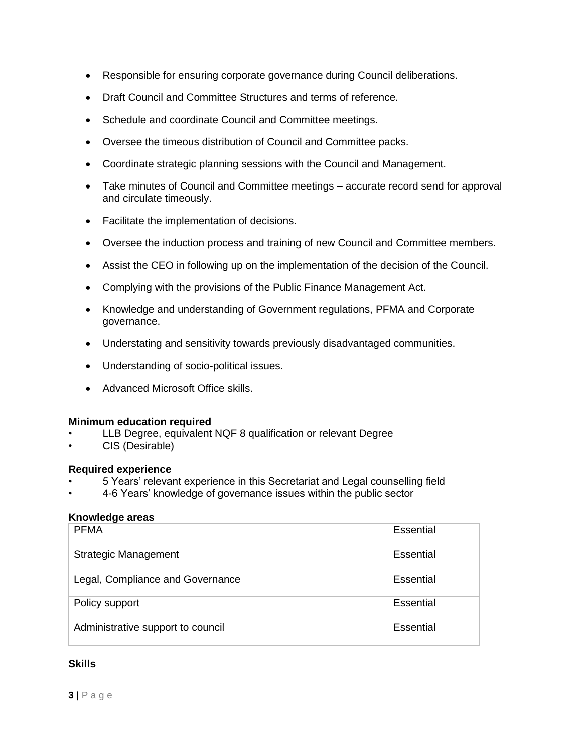- Responsible for ensuring corporate governance during Council deliberations.
- Draft Council and Committee Structures and terms of reference.
- Schedule and coordinate Council and Committee meetings.
- Oversee the timeous distribution of Council and Committee packs.
- Coordinate strategic planning sessions with the Council and Management.
- Take minutes of Council and Committee meetings accurate record send for approval and circulate timeously.
- Facilitate the implementation of decisions.
- Oversee the induction process and training of new Council and Committee members.
- Assist the CEO in following up on the implementation of the decision of the Council.
- Complying with the provisions of the Public Finance Management Act.
- Knowledge and understanding of Government regulations, PFMA and Corporate governance.
- Understating and sensitivity towards previously disadvantaged communities.
- Understanding of socio-political issues.
- Advanced Microsoft Office skills.

#### **Minimum education required**

- LLB Degree, equivalent NQF 8 qualification or relevant Degree
- CIS (Desirable)

#### **Required experience**

- 5 Years' relevant experience in this Secretariat and Legal counselling field
- 4-6 Years' knowledge of governance issues within the public sector

#### **Knowledge areas**

| <b>PFMA</b>                       | Essential |
|-----------------------------------|-----------|
| <b>Strategic Management</b>       | Essential |
| Legal, Compliance and Governance  | Essential |
| Policy support                    | Essential |
| Administrative support to council | Essential |

#### **Skills**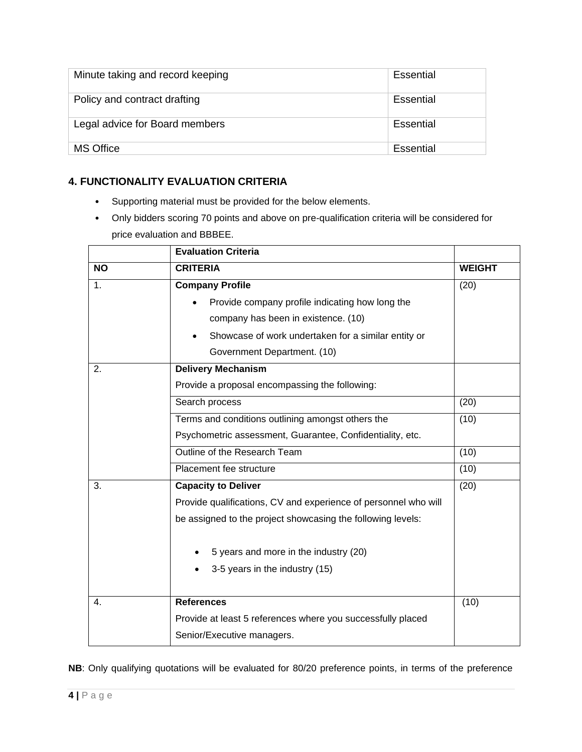| Minute taking and record keeping | Essential |
|----------------------------------|-----------|
| Policy and contract drafting     | Essential |
| Legal advice for Board members   | Essential |
| <b>MS Office</b>                 | Essential |

## **4. FUNCTIONALITY EVALUATION CRITERIA**

- Supporting material must be provided for the below elements.
- Only bidders scoring 70 points and above on pre-qualification criteria will be considered for price evaluation and BBBEE.

|           | <b>Evaluation Criteria</b>                                      |               |
|-----------|-----------------------------------------------------------------|---------------|
| <b>NO</b> | <b>CRITERIA</b>                                                 | <b>WEIGHT</b> |
| 1.        | <b>Company Profile</b>                                          | (20)          |
|           | Provide company profile indicating how long the                 |               |
|           | company has been in existence. (10)                             |               |
|           | Showcase of work undertaken for a similar entity or             |               |
|           | Government Department. (10)                                     |               |
| 2.        | <b>Delivery Mechanism</b>                                       |               |
|           | Provide a proposal encompassing the following:                  |               |
|           | Search process                                                  | (20)          |
|           | Terms and conditions outlining amongst others the               | (10)          |
|           | Psychometric assessment, Guarantee, Confidentiality, etc.       |               |
|           | Outline of the Research Team                                    | (10)          |
|           | Placement fee structure                                         | (10)          |
| 3.        | <b>Capacity to Deliver</b>                                      | (20)          |
|           | Provide qualifications, CV and experience of personnel who will |               |
|           | be assigned to the project showcasing the following levels:     |               |
|           | 5 years and more in the industry (20)                           |               |
|           | 3-5 years in the industry (15)                                  |               |
|           |                                                                 |               |
| 4.        | <b>References</b>                                               | (10)          |
|           | Provide at least 5 references where you successfully placed     |               |
|           | Senior/Executive managers.                                      |               |

**NB**: Only qualifying quotations will be evaluated for 80/20 preference points, in terms of the preference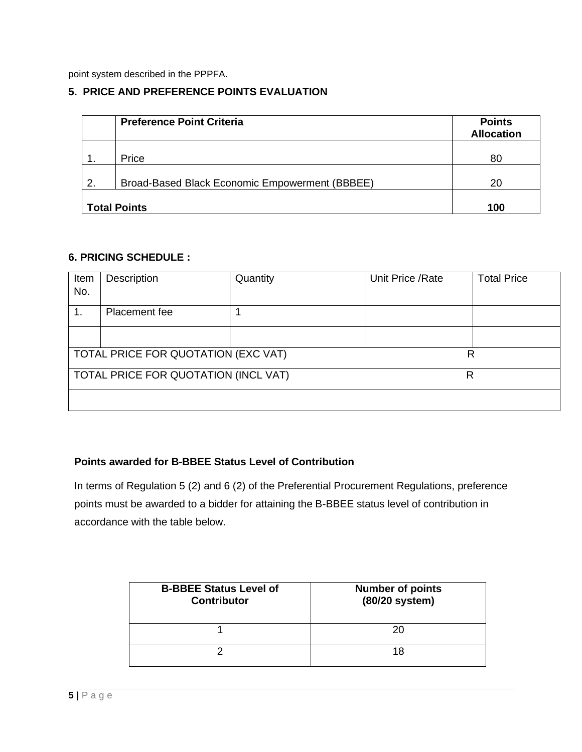point system described in the PPPFA.

#### **5. PRICE AND PREFERENCE POINTS EVALUATION**

|                | <b>Preference Point Criteria</b>               | <b>Points</b><br><b>Allocation</b> |
|----------------|------------------------------------------------|------------------------------------|
|                | Price                                          | 80                                 |
| $\overline{2}$ | Broad-Based Black Economic Empowerment (BBBEE) | 20                                 |
|                | <b>Total Points</b>                            | 100                                |

#### **6. PRICING SCHEDULE :**

| Item<br>No.                         | Description                          | Quantity | Unit Price / Rate | <b>Total Price</b> |
|-------------------------------------|--------------------------------------|----------|-------------------|--------------------|
| 1.                                  | Placement fee                        |          |                   |                    |
|                                     |                                      |          |                   |                    |
| TOTAL PRICE FOR QUOTATION (EXC VAT) |                                      |          | R                 |                    |
|                                     | TOTAL PRICE FOR QUOTATION (INCL VAT) |          | R                 |                    |
|                                     |                                      |          |                   |                    |

#### **Points awarded for B-BBEE Status Level of Contribution**

 In terms of Regulation 5 (2) and 6 (2) of the Preferential Procurement Regulations, preference points must be awarded to a bidder for attaining the B-BBEE status level of contribution in accordance with the table below.

| <b>B-BBEE Status Level of</b><br><b>Contributor</b> | <b>Number of points</b><br>(80/20 system) |
|-----------------------------------------------------|-------------------------------------------|
|                                                     | 20                                        |
|                                                     | 18                                        |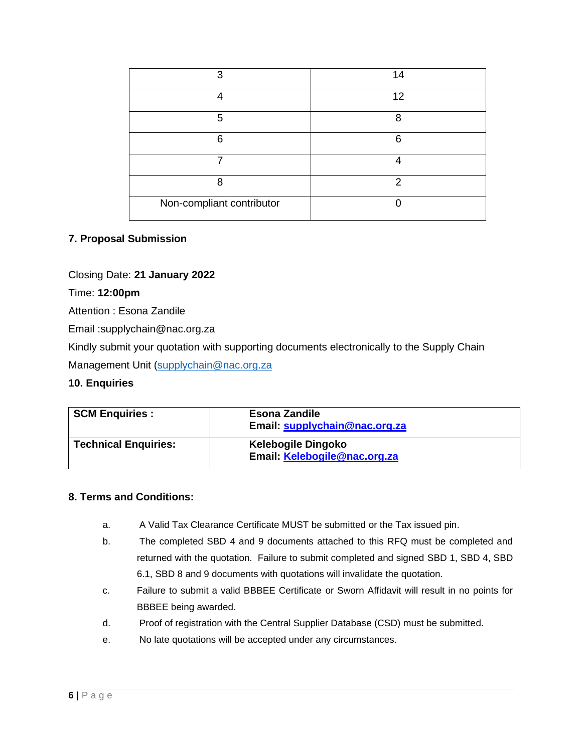| っ                         | 14 |
|---------------------------|----|
|                           | 12 |
| 5                         | 8  |
| ี                         | 6  |
|                           |    |
| я                         | 2  |
| Non-compliant contributor |    |

#### **7. Proposal Submission**

Closing Date: **21 January 2022**

Time: **12:00pm**

Attention : Esona Zandile

Email :supplychain@nac.org.za

Kindly submit your quotation with supporting documents electronically to the Supply Chain

Management Unit [\(supplychain@nac.org.za](mailto:supplychain@nac.org.za)

#### **10. Enquiries**

| <b>SCM Enquiries:</b>       | <b>Esona Zandile</b><br>Email: supplychain@nac.org.za     |
|-----------------------------|-----------------------------------------------------------|
| <b>Technical Enquiries:</b> | <b>Kelebogile Dingoko</b><br>Email: Kelebogile@nac.org.za |

#### **8. Terms and Conditions:**

- a. A Valid Tax Clearance Certificate MUST be submitted or the Tax issued pin.
- b. The completed SBD 4 and 9 documents attached to this RFQ must be completed and returned with the quotation. Failure to submit completed and signed SBD 1, SBD 4, SBD 6.1, SBD 8 and 9 documents with quotations will invalidate the quotation.
- c. Failure to submit a valid BBBEE Certificate or Sworn Affidavit will result in no points for BBBEE being awarded.
- d. Proof of registration with the Central Supplier Database (CSD) must be submitted.
- e. No late quotations will be accepted under any circumstances.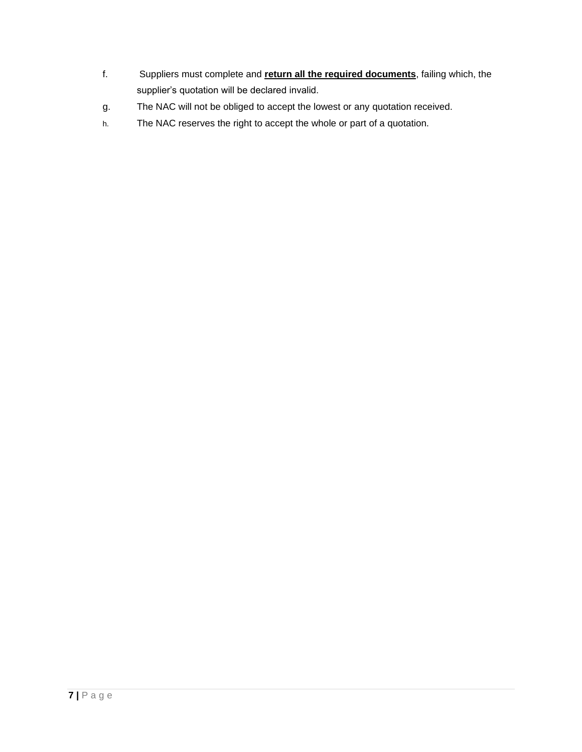- f. Suppliers must complete and **return all the required documents**, failing which, the supplier's quotation will be declared invalid.
- g. The NAC will not be obliged to accept the lowest or any quotation received.
- h. The NAC reserves the right to accept the whole or part of a quotation.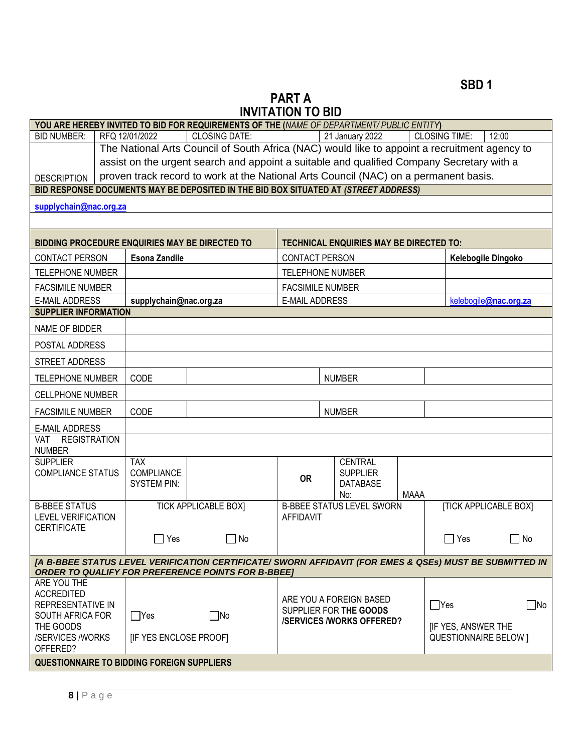# **PART A INVITATION TO BID**

|                                                   |                                                                                                                                                                                   | YOU ARE HEREBY INVITED TO BID FOR REQUIREMENTS OF THE (NAME OF DEPARTMENT/PUBLIC ENTITY)                |                                                                                                                                 |  |                                                |      |                              |                              |
|---------------------------------------------------|-----------------------------------------------------------------------------------------------------------------------------------------------------------------------------------|---------------------------------------------------------------------------------------------------------|---------------------------------------------------------------------------------------------------------------------------------|--|------------------------------------------------|------|------------------------------|------------------------------|
| <b>BID NUMBER:</b>                                | RFQ 12/01/2022                                                                                                                                                                    | <b>CLOSING DATE:</b>                                                                                    |                                                                                                                                 |  | 21 January 2022                                |      | <b>CLOSING TIME:</b>         | 12:00                        |
|                                                   |                                                                                                                                                                                   | The National Arts Council of South Africa (NAC) would like to appoint a recruitment agency to           |                                                                                                                                 |  |                                                |      |                              |                              |
|                                                   | assist on the urgent search and appoint a suitable and qualified Company Secretary with a<br>proven track record to work at the National Arts Council (NAC) on a permanent basis. |                                                                                                         |                                                                                                                                 |  |                                                |      |                              |                              |
| <b>DESCRIPTION</b>                                |                                                                                                                                                                                   |                                                                                                         |                                                                                                                                 |  |                                                |      |                              |                              |
|                                                   |                                                                                                                                                                                   | BID RESPONSE DOCUMENTS MAY BE DEPOSITED IN THE BID BOX SITUATED AT (STREET ADDRESS)                     |                                                                                                                                 |  |                                                |      |                              |                              |
| supplychain@nac.org.za                            |                                                                                                                                                                                   |                                                                                                         |                                                                                                                                 |  |                                                |      |                              |                              |
|                                                   |                                                                                                                                                                                   |                                                                                                         |                                                                                                                                 |  |                                                |      |                              |                              |
|                                                   |                                                                                                                                                                                   | <b>BIDDING PROCEDURE ENQUIRIES MAY BE DIRECTED TO</b>                                                   |                                                                                                                                 |  | <b>TECHNICAL ENQUIRIES MAY BE DIRECTED TO:</b> |      |                              |                              |
| <b>CONTACT PERSON</b>                             | <b>Esona Zandile</b>                                                                                                                                                              |                                                                                                         | CONTACT PERSON                                                                                                                  |  |                                                |      |                              | Kelebogile Dingoko           |
| <b>TELEPHONE NUMBER</b>                           |                                                                                                                                                                                   |                                                                                                         | <b>TELEPHONE NUMBER</b>                                                                                                         |  |                                                |      |                              |                              |
| <b>FACSIMILE NUMBER</b>                           |                                                                                                                                                                                   |                                                                                                         | <b>FACSIMILE NUMBER</b>                                                                                                         |  |                                                |      |                              |                              |
| <b>E-MAIL ADDRESS</b>                             | supplychain@nac.org.za                                                                                                                                                            |                                                                                                         | <b>E-MAIL ADDRESS</b>                                                                                                           |  |                                                |      |                              | kelebogile@nac.org.za        |
| <b>SUPPLIER INFORMATION</b>                       |                                                                                                                                                                                   |                                                                                                         |                                                                                                                                 |  |                                                |      |                              |                              |
| NAME OF BIDDER                                    |                                                                                                                                                                                   |                                                                                                         |                                                                                                                                 |  |                                                |      |                              |                              |
| POSTAL ADDRESS                                    |                                                                                                                                                                                   |                                                                                                         |                                                                                                                                 |  |                                                |      |                              |                              |
| STREET ADDRESS                                    |                                                                                                                                                                                   |                                                                                                         |                                                                                                                                 |  |                                                |      |                              |                              |
| <b>TELEPHONE NUMBER</b>                           | CODE                                                                                                                                                                              |                                                                                                         |                                                                                                                                 |  | <b>NUMBER</b>                                  |      |                              |                              |
| CELLPHONE NUMBER                                  |                                                                                                                                                                                   |                                                                                                         |                                                                                                                                 |  |                                                |      |                              |                              |
| <b>FACSIMILE NUMBER</b>                           | CODE                                                                                                                                                                              |                                                                                                         |                                                                                                                                 |  | <b>NUMBER</b>                                  |      |                              |                              |
| <b>E-MAIL ADDRESS</b>                             |                                                                                                                                                                                   |                                                                                                         |                                                                                                                                 |  |                                                |      |                              |                              |
| <b>REGISTRATION</b><br>VAT.<br><b>NUMBER</b>      |                                                                                                                                                                                   |                                                                                                         |                                                                                                                                 |  |                                                |      |                              |                              |
| <b>SUPPLIER</b>                                   | <b>TAX</b>                                                                                                                                                                        |                                                                                                         |                                                                                                                                 |  | <b>CENTRAL</b>                                 |      |                              |                              |
| <b>COMPLIANCE STATUS</b>                          | COMPLIANCE                                                                                                                                                                        |                                                                                                         | <b>OR</b>                                                                                                                       |  | <b>SUPPLIER</b>                                |      |                              |                              |
|                                                   | <b>SYSTEM PIN:</b>                                                                                                                                                                |                                                                                                         |                                                                                                                                 |  | <b>DATABASE</b>                                |      |                              |                              |
| <b>B-BBEE STATUS</b>                              |                                                                                                                                                                                   | <b>TICK APPLICABLE BOX]</b>                                                                             |                                                                                                                                 |  | No:<br><b>B-BBEE STATUS LEVEL SWORN</b>        | MAAA |                              | <b>[TICK APPLICABLE BOX]</b> |
| <b>LEVEL VERIFICATION</b>                         |                                                                                                                                                                                   |                                                                                                         | AFFIDAVIT                                                                                                                       |  |                                                |      |                              |                              |
| <b>CERTIFICATE</b>                                |                                                                                                                                                                                   |                                                                                                         |                                                                                                                                 |  |                                                |      |                              |                              |
|                                                   | Yes                                                                                                                                                                               | No                                                                                                      |                                                                                                                                 |  |                                                |      | ∣ Yes                        | No                           |
|                                                   |                                                                                                                                                                                   | [A B-BBEE STATUS LEVEL VERIFICATION CERTIFICATE/ SWORN AFFIDAVIT (FOR EMES & QSEs) MUST BE SUBMITTED IN |                                                                                                                                 |  |                                                |      |                              |                              |
| ARE YOU THE                                       |                                                                                                                                                                                   | <b>ORDER TO QUALIFY FOR PREFERENCE POINTS FOR B-BBEET</b>                                               |                                                                                                                                 |  |                                                |      |                              |                              |
| <b>ACCREDITED</b>                                 |                                                                                                                                                                                   |                                                                                                         |                                                                                                                                 |  |                                                |      |                              |                              |
| REPRESENTATIVE IN                                 |                                                                                                                                                                                   |                                                                                                         | ARE YOU A FOREIGN BASED<br>$\Box$ Yes<br>SUPPLIER FOR THE GOODS<br><b>/SERVICES/WORKS OFFERED?</b><br><b>IF YES, ANSWER THE</b> |  | $\Box$ No                                      |      |                              |                              |
| <b>SOUTH AFRICA FOR</b><br>THE GOODS              | $\Box$ Yes                                                                                                                                                                        | $\Box$ No                                                                                               |                                                                                                                                 |  |                                                |      |                              |                              |
| /SERVICES /WORKS                                  | [IF YES ENCLOSE PROOF]                                                                                                                                                            |                                                                                                         |                                                                                                                                 |  |                                                |      | <b>QUESTIONNAIRE BELOW 1</b> |                              |
| OFFERED?                                          |                                                                                                                                                                                   |                                                                                                         |                                                                                                                                 |  |                                                |      |                              |                              |
| <b>QUESTIONNAIRE TO BIDDING FOREIGN SUPPLIERS</b> |                                                                                                                                                                                   |                                                                                                         |                                                                                                                                 |  |                                                |      |                              |                              |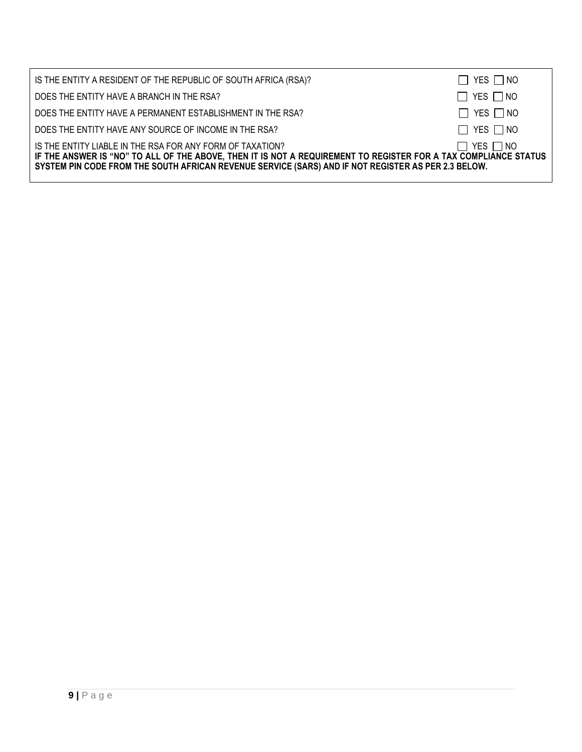| IS THE ENTITY A RESIDENT OF THE REPUBLIC OF SOUTH AFRICA (RSA)?                                                                                                                                                                                                                     | $\Box$ YES $\Box$ NO |
|-------------------------------------------------------------------------------------------------------------------------------------------------------------------------------------------------------------------------------------------------------------------------------------|----------------------|
| DOES THE ENTITY HAVE A BRANCH IN THE RSA?                                                                                                                                                                                                                                           | $\Box$ YES $\Box$ NO |
| DOES THE ENTITY HAVE A PERMANENT ESTABLISHMENT IN THE RSA?                                                                                                                                                                                                                          | $\Box$ YES $\Box$ NO |
| DOES THE ENTITY HAVE ANY SOURCE OF INCOME IN THE RSA?                                                                                                                                                                                                                               | $\Box$ YES $\Box$ NO |
| IS THE ENTITY LIABLE IN THE RSA FOR ANY FORM OF TAXATION?<br>IF THE ANSWER IS "NO" TO ALL OF THE ABOVE, THEN IT IS NOT A REQUIREMENT TO REGISTER FOR A TAX COMPLIANCE STATUS<br>SYSTEM PIN CODE FROM THE SOUTH AFRICAN REVENUE SERVICE (SARS) AND IF NOT REGISTER AS PER 2.3 BELOW. | $\Box$ YES $\Box$ NO |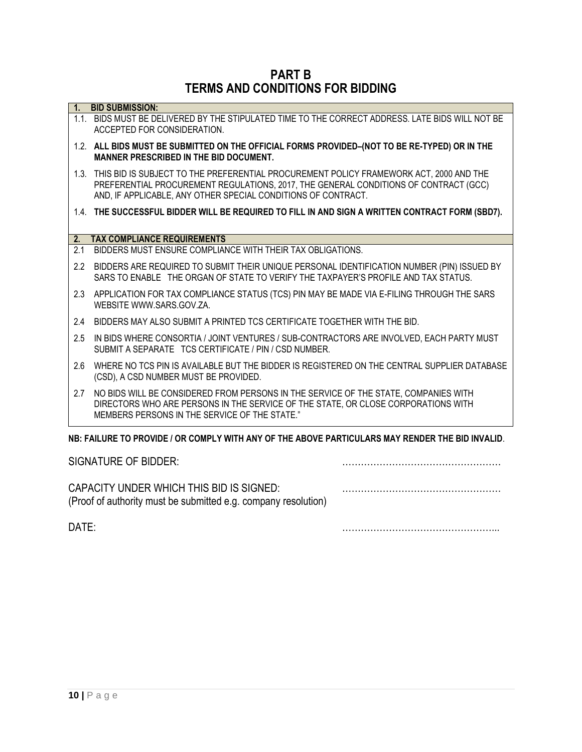# **PART B TERMS AND CONDITIONS FOR BIDDING**

| $\vert$ 1. | <b>BID SUBMISSION:</b>                                                                                                                                                                                                                               |
|------------|------------------------------------------------------------------------------------------------------------------------------------------------------------------------------------------------------------------------------------------------------|
|            | 1.1. BIDS MUST BE DELIVERED BY THE STIPULATED TIME TO THE CORRECT ADDRESS. LATE BIDS WILL NOT BE<br>ACCEPTED FOR CONSIDERATION.                                                                                                                      |
|            | 1.2. ALL BIDS MUST BE SUBMITTED ON THE OFFICIAL FORMS PROVIDED-(NOT TO BE RE-TYPED) OR IN THE<br><b>MANNER PRESCRIBED IN THE BID DOCUMENT.</b>                                                                                                       |
|            | 1.3. THIS BID IS SUBJECT TO THE PREFERENTIAL PROCUREMENT POLICY FRAMEWORK ACT, 2000 AND THE<br>PREFERENTIAL PROCUREMENT REGULATIONS, 2017, THE GENERAL CONDITIONS OF CONTRACT (GCC)<br>AND, IF APPLICABLE, ANY OTHER SPECIAL CONDITIONS OF CONTRACT. |
|            | 1.4. THE SUCCESSFUL BIDDER WILL BE REQUIRED TO FILL IN AND SIGN A WRITTEN CONTRACT FORM (SBD7).                                                                                                                                                      |
| 2.         | <b>TAX COMPLIANCE REQUIREMENTS</b>                                                                                                                                                                                                                   |
| 2.1        | BIDDERS MUST ENSURE COMPLIANCE WITH THEIR TAX OBLIGATIONS.                                                                                                                                                                                           |
| 2.2        | BIDDERS ARE REQUIRED TO SUBMIT THEIR UNIQUE PERSONAL IDENTIFICATION NUMBER (PIN) ISSUED BY<br>SARS TO ENABLE THE ORGAN OF STATE TO VERIFY THE TAXPAYER'S PROFILE AND TAX STATUS.                                                                     |
| 2.3        | APPLICATION FOR TAX COMPLIANCE STATUS (TCS) PIN MAY BE MADE VIA E-FILING THROUGH THE SARS<br>WEBSITE WWW.SARS.GOV.ZA.                                                                                                                                |
| 2.4        | BIDDERS MAY ALSO SUBMIT A PRINTED TCS CERTIFICATE TOGETHER WITH THE BID.                                                                                                                                                                             |
| 2.5        | IN BIDS WHERE CONSORTIA / JOINT VENTURES / SUB-CONTRACTORS ARE INVOLVED, EACH PARTY MUST<br>SUBMIT A SEPARATE TCS CERTIFICATE / PIN / CSD NUMBER.                                                                                                    |
| 2.6        | WHERE NO TCS PIN IS AVAILABLE BUT THE BIDDER IS REGISTERED ON THE CENTRAL SUPPLIER DATABASE<br>(CSD), A CSD NUMBER MUST BE PROVIDED.                                                                                                                 |
| 2.7        | NO BIDS WILL BE CONSIDERED FROM PERSONS IN THE SERVICE OF THE STATE, COMPANIES WITH<br>DIRECTORS WHO ARE PERSONS IN THE SERVICE OF THE STATE, OR CLOSE CORPORATIONS WITH<br>MEMBERS PERSONS IN THE SERVICE OF THE STATE."                            |
|            | NB: FAILURE TO PROVIDE / OR COMPLY WITH ANY OF THE ABOVE PARTICULARS MAY RENDER THE BID INVALID.                                                                                                                                                     |

## SIGNATURE OF BIDDER: ……………………………………………

CAPACITY UNDER WHICH THIS BID IS SIGNED: …………………………………………… (Proof of authority must be submitted e.g. company resolution)

DATE: …………………………………………...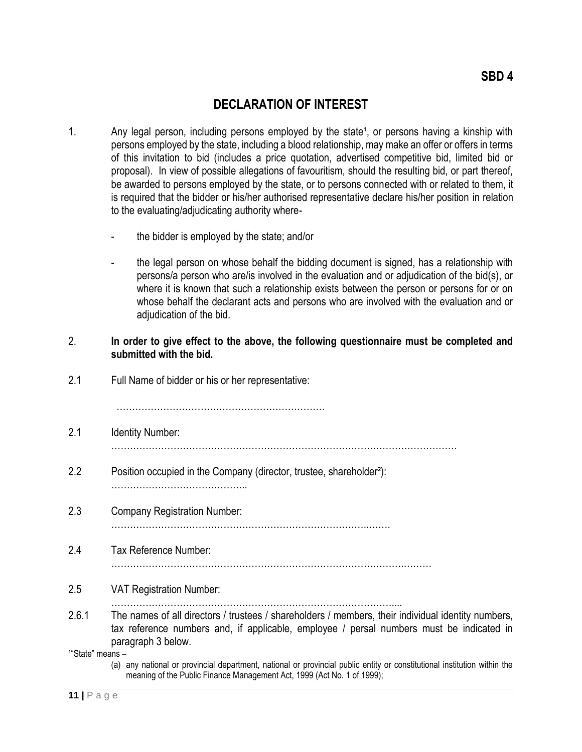# **DECLARATION OF INTEREST**

- 1. Any legal person, including persons employed by the state<sup>1</sup>, or persons having a kinship with persons employed by the state, including a blood relationship, may make an offer or offers in terms of this invitation to bid (includes a price quotation, advertised competitive bid, limited bid or proposal). In view of possible allegations of favouritism, should the resulting bid, or part thereof, be awarded to persons employed by the state, or to persons connected with or related to them, it is required that the bidder or his/her authorised representative declare his/her position in relation to the evaluating/adjudicating authority where-
	- the bidder is employed by the state; and/or
	- the legal person on whose behalf the bidding document is signed, has a relationship with persons/a person who are/is involved in the evaluation and or adjudication of the bid(s), or where it is known that such a relationship exists between the person or persons for or on whose behalf the declarant acts and persons who are involved with the evaluation and or adjudication of the bid.

#### 2. **In order to give effect to the above, the following questionnaire must be completed and submitted with the bid.**

2.1 Full Name of bidder or his or her representative:

 $\mathbb{R}^n$  . The contract of the contract of the contract of the contract of the contract of the contract of the contract of the contract of the contract of the contract of the contract of the contract of the contract of

- 2.1 Identity Number:
	- …………………………………………………………………………………………………
- 2.2 Position occupied in the Company (director, trustee, shareholder²): ……………………………………..
- 2.3 Company Registration Number:  $\mathbb{R}^n$
- 2.4 Tax Reference Number:
	- ………………………………………………………………………………….………
- 2.5 VAT Registration Number:
- ………………………………………………………………………………....
- 2.6.1 The names of all directors / trustees / shareholders / members, their individual identity numbers, tax reference numbers and, if applicable, employee / persal numbers must be indicated in paragraph 3 below.

¹"State" means –

 (a) any national or provincial department, national or provincial public entity or constitutional institution within the meaning of the Public Finance Management Act, 1999 (Act No. 1 of 1999);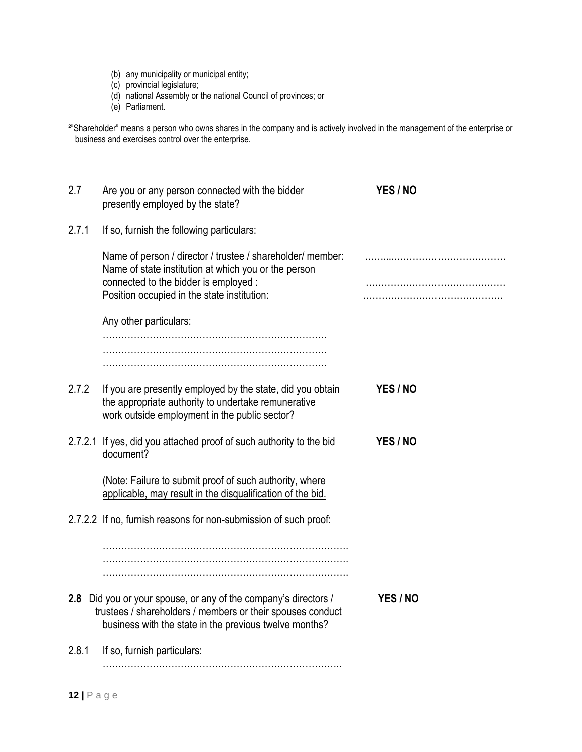- (b) any municipality or municipal entity;
- (c) provincial legislature;
- (d) national Assembly or the national Council of provinces; or
- (e) Parliament.

<sup>2</sup>"Shareholder" means a person who owns shares in the company and is actively involved in the management of the enterprise or business and exercises control over the enterprise.

| 2.7   | Are you or any person connected with the bidder<br>presently employed by the state?                                                                                                                        | YES / NO |
|-------|------------------------------------------------------------------------------------------------------------------------------------------------------------------------------------------------------------|----------|
| 2.7.1 | If so, furnish the following particulars:                                                                                                                                                                  |          |
|       | Name of person / director / trustee / shareholder/ member:<br>Name of state institution at which you or the person<br>connected to the bidder is employed :<br>Position occupied in the state institution: |          |
|       | Any other particulars:                                                                                                                                                                                     |          |
|       |                                                                                                                                                                                                            |          |
| 2.7.2 | If you are presently employed by the state, did you obtain<br>the appropriate authority to undertake remunerative<br>work outside employment in the public sector?                                         | YES / NO |
|       | 2.7.2.1 If yes, did you attached proof of such authority to the bid<br>document?                                                                                                                           | YES / NO |
|       | (Note: Failure to submit proof of such authority, where<br>applicable, may result in the disqualification of the bid.                                                                                      |          |
|       | 2.7.2.2 If no, furnish reasons for non-submission of such proof:                                                                                                                                           |          |
|       |                                                                                                                                                                                                            |          |
|       | 2.8 Did you or your spouse, or any of the company's directors /<br>trustees / shareholders / members or their spouses conduct<br>business with the state in the previous twelve months?                    | YES / NO |
| 2.8.1 | If so, furnish particulars:                                                                                                                                                                                |          |
|       |                                                                                                                                                                                                            |          |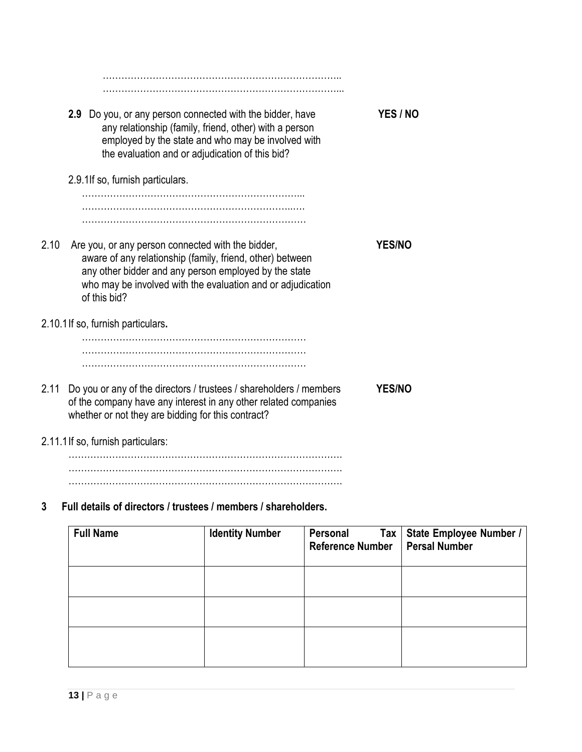| 2.9 Do you, or any person connected with the bidder, have<br>any relationship (family, friend, other) with a person<br>employed by the state and who may be involved with<br>the evaluation and or adjudication of this bid?                                   | <b>YES / NO</b> |
|----------------------------------------------------------------------------------------------------------------------------------------------------------------------------------------------------------------------------------------------------------------|-----------------|
| 2.9.1If so, furnish particulars.                                                                                                                                                                                                                               |                 |
|                                                                                                                                                                                                                                                                |                 |
|                                                                                                                                                                                                                                                                |                 |
| 2.10<br>Are you, or any person connected with the bidder,<br>aware of any relationship (family, friend, other) between<br>any other bidder and any person employed by the state<br>who may be involved with the evaluation and or adjudication<br>of this bid? | <b>YES/NO</b>   |
| 2.10.1 If so, furnish particulars.                                                                                                                                                                                                                             |                 |
|                                                                                                                                                                                                                                                                |                 |
| 2.11<br>Do you or any of the directors / trustees / shareholders / members<br>of the company have any interest in any other related companies<br>whether or not they are bidding for this contract?                                                            | <b>YES/NO</b>   |
| 2.11.1 If so, furnish particulars:                                                                                                                                                                                                                             |                 |

……………………………………………………………………………. ……………………………………………………………………………. …………………………………………………………………………….

# **3 Full details of directors / trustees / members / shareholders.**

| <b>Full Name</b> | <b>Identity Number</b> | Personal<br><b>Reference Number</b> | Tax   State Employee Number /<br><b>Persal Number</b> |
|------------------|------------------------|-------------------------------------|-------------------------------------------------------|
|                  |                        |                                     |                                                       |
|                  |                        |                                     |                                                       |
|                  |                        |                                     |                                                       |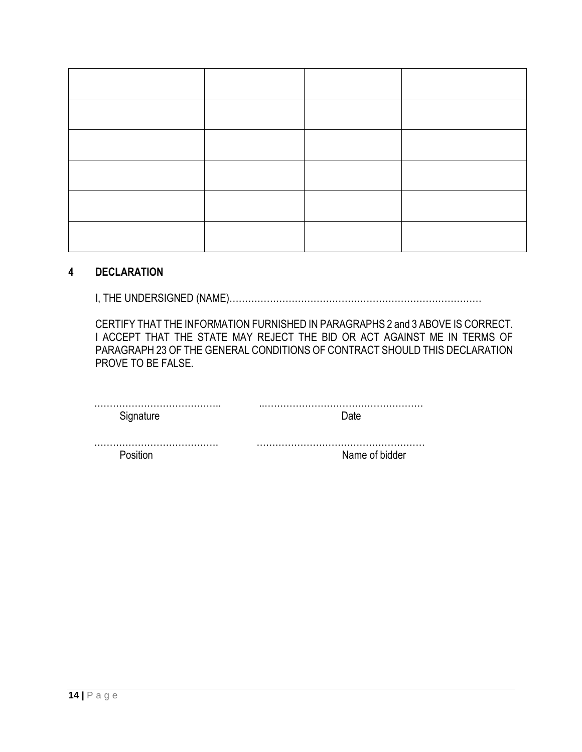### **4 DECLARATION**

I, THE UNDERSIGNED (NAME)………………………………………………………………………

CERTIFY THAT THE INFORMATION FURNISHED IN PARAGRAPHS 2 and 3 ABOVE IS CORRECT. I ACCEPT THAT THE STATE MAY REJECT THE BID OR ACT AGAINST ME IN TERMS OF PARAGRAPH 23 OF THE GENERAL CONDITIONS OF CONTRACT SHOULD THIS DECLARATION PROVE TO BE FALSE.

| Signature | Date           |
|-----------|----------------|
|           |                |
| Position  | Name of bidder |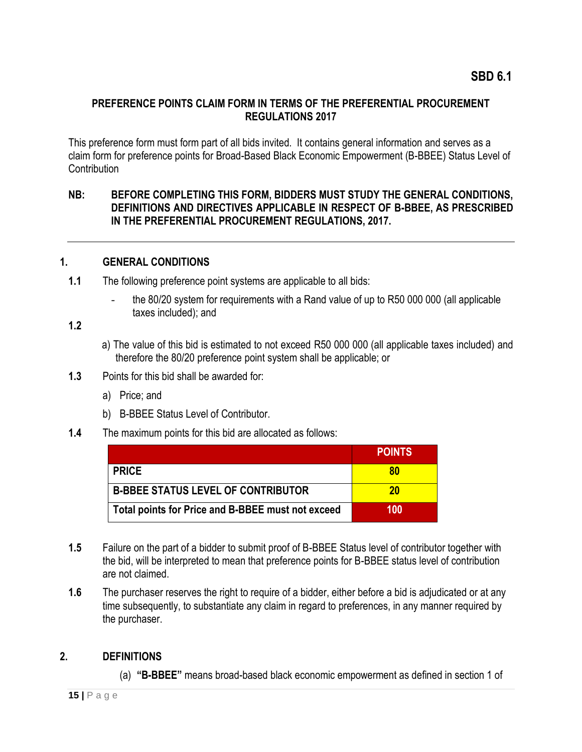### **PREFERENCE POINTS CLAIM FORM IN TERMS OF THE PREFERENTIAL PROCUREMENT REGULATIONS 2017**

This preference form must form part of all bids invited. It contains general information and serves as a claim form for preference points for Broad-Based Black Economic Empowerment (B-BBEE) Status Level of **Contribution** 

### **NB: BEFORE COMPLETING THIS FORM, BIDDERS MUST STUDY THE GENERAL CONDITIONS, DEFINITIONS AND DIRECTIVES APPLICABLE IN RESPECT OF B-BBEE, AS PRESCRIBED IN THE PREFERENTIAL PROCUREMENT REGULATIONS, 2017.**

#### **1. GENERAL CONDITIONS**

- **1.1** The following preference point systems are applicable to all bids:
	- the 80/20 system for requirements with a Rand value of up to R50 000 000 (all applicable taxes included); and

# **1.2**

- a) The value of this bid is estimated to not exceed R50 000 000 (all applicable taxes included) and therefore the 80/20 preference point system shall be applicable; or
- **1.3** Points for this bid shall be awarded for:
	- a) Price; and
	- b) B-BBEE Status Level of Contributor.
- **1.4** The maximum points for this bid are allocated as follows:

|                                                   | <b>POINTS</b> |
|---------------------------------------------------|---------------|
| <b>PRICE</b>                                      | 80            |
| <b>B-BBEE STATUS LEVEL OF CONTRIBUTOR</b>         | 20            |
| Total points for Price and B-BBEE must not exceed | 100           |

- **1.5** Failure on the part of a bidder to submit proof of B-BBEE Status level of contributor together with the bid, will be interpreted to mean that preference points for B-BBEE status level of contribution are not claimed.
- **1.6** The purchaser reserves the right to require of a bidder, either before a bid is adjudicated or at any time subsequently, to substantiate any claim in regard to preferences, in any manner required by the purchaser.

### **2. DEFINITIONS**

(a) **"B-BBEE"** means broad-based black economic empowerment as defined in section 1 of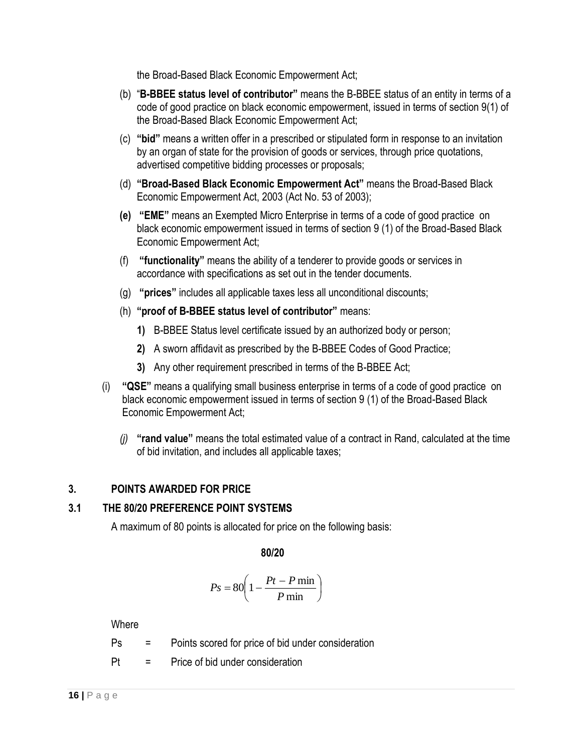the Broad-Based Black Economic Empowerment Act;

- (b) "**B-BBEE status level of contributor"** means the B-BBEE status of an entity in terms of a code of good practice on black economic empowerment, issued in terms of section 9(1) of the Broad-Based Black Economic Empowerment Act;
- (c) **"bid"** means a written offer in a prescribed or stipulated form in response to an invitation by an organ of state for the provision of goods or services, through price quotations, advertised competitive bidding processes or proposals;
- (d) **"Broad-Based Black Economic Empowerment Act"** means the Broad-Based Black Economic Empowerment Act, 2003 (Act No. 53 of 2003);
- **(e) "EME"** means an Exempted Micro Enterprise in terms of a code of good practice on black economic empowerment issued in terms of section 9 (1) of the Broad-Based Black Economic Empowerment Act;
- (f) **"functionality"** means the ability of a tenderer to provide goods or services in accordance with specifications as set out in the tender documents.
- (g) **"prices"** includes all applicable taxes less all unconditional discounts;
- (h) **"proof of B-BBEE status level of contributor"** means:
	- **1)** B-BBEE Status level certificate issued by an authorized body or person;
	- **2)** A sworn affidavit as prescribed by the B-BBEE Codes of Good Practice;
	- **3)** Any other requirement prescribed in terms of the B-BBEE Act;
- (i) **"QSE"** means a qualifying small business enterprise in terms of a code of good practice on black economic empowerment issued in terms of section 9 (1) of the Broad-Based Black Economic Empowerment Act;
	- *(j)* **"rand value"** means the total estimated value of a contract in Rand, calculated at the time of bid invitation, and includes all applicable taxes;

# **3. POINTS AWARDED FOR PRICE**

### **3.1 THE 80/20 PREFERENCE POINT SYSTEMS**

A maximum of 80 points is allocated for price on the following basis:

**80/20**

$$
Ps = 80 \left( 1 - \frac{Pt - P \min}{P \min} \right)
$$

**Where** 

- Ps = Points scored for price of bid under consideration
- Pt = Price of bid under consideration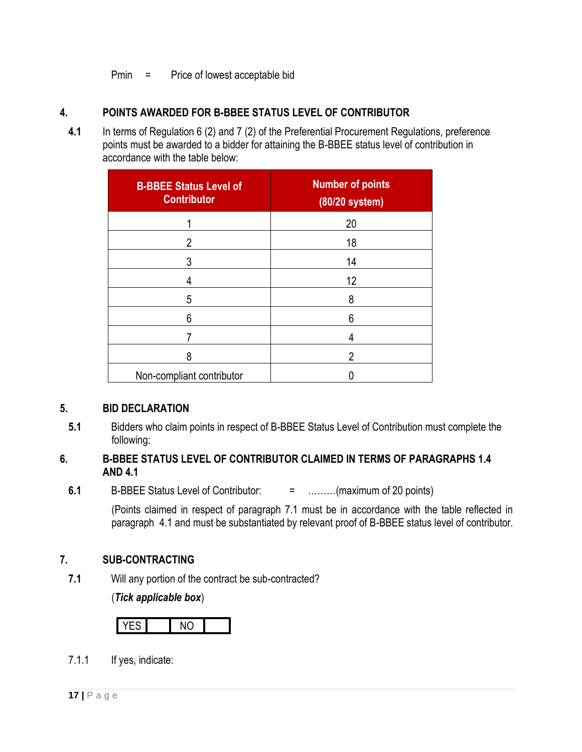Pmin = Price of lowest acceptable bid

# **4. POINTS AWARDED FOR B-BBEE STATUS LEVEL OF CONTRIBUTOR**

**4.1** In terms of Regulation 6 (2) and 7 (2) of the Preferential Procurement Regulations, preference points must be awarded to a bidder for attaining the B-BBEE status level of contribution in accordance with the table below:

| <b>B-BBEE Status Level of</b><br><b>Contributor</b> | <b>Number of points</b><br>(80/20 system) |
|-----------------------------------------------------|-------------------------------------------|
|                                                     | 20                                        |
| 2                                                   | 18                                        |
| 3                                                   | 14                                        |
| 4                                                   | 12                                        |
| 5                                                   | 8                                         |
| 6                                                   | 6                                         |
|                                                     | 4                                         |
| 8                                                   | 2                                         |
| Non-compliant contributor                           |                                           |

### **5. BID DECLARATION**

**5.1** Bidders who claim points in respect of B-BBEE Status Level of Contribution must complete the following:

## **6. B-BBEE STATUS LEVEL OF CONTRIBUTOR CLAIMED IN TERMS OF PARAGRAPHS 1.4 AND 4.1**

**6.1** B-BBEE Status Level of Contributor: = ………(maximum of 20 points)

(Points claimed in respect of paragraph 7.1 must be in accordance with the table reflected in paragraph 4.1 and must be substantiated by relevant proof of B-BBEE status level of contributor.

### **7. SUB-CONTRACTING**

**7.1** Will any portion of the contract be sub-contracted?

(*Tick applicable box*)

7.1.1 If yes, indicate: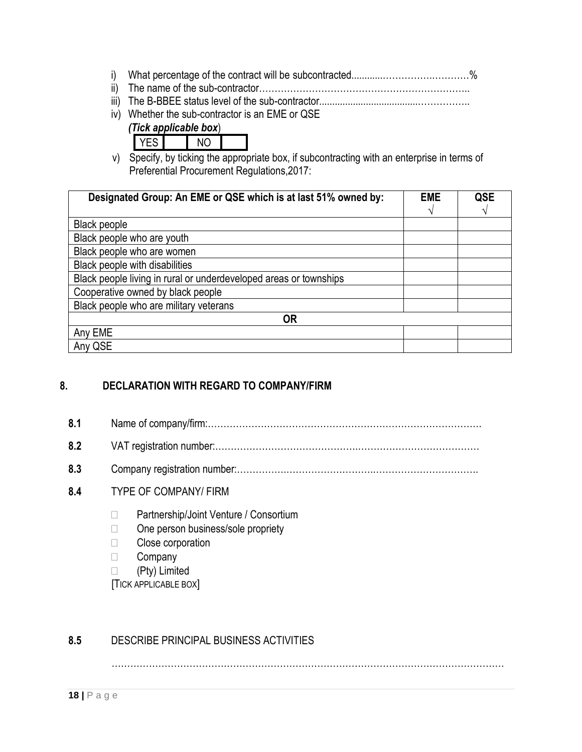- i) What percentage of the contract will be subcontracted............…………….…………%
- ii) The name of the sub-contractor…………………………………………………………..
- iii) The B-BBEE status level of the sub-contractor......................................……………..
- iv) Whether the sub-contractor is an EME or QSE
	- *(Tick applicable box*)
		- YES NO
- v) Specify, by ticking the appropriate box, if subcontracting with an enterprise in terms of Preferential Procurement Regulations,2017:

| Designated Group: An EME or QSE which is at last 51% owned by:    | <b>EME</b> | <b>QSE</b> |
|-------------------------------------------------------------------|------------|------------|
| <b>Black people</b>                                               |            |            |
| Black people who are youth                                        |            |            |
| Black people who are women                                        |            |            |
| Black people with disabilities                                    |            |            |
| Black people living in rural or underdeveloped areas or townships |            |            |
| Cooperative owned by black people                                 |            |            |
| Black people who are military veterans                            |            |            |
| <b>OR</b>                                                         |            |            |
| Any EME                                                           |            |            |
| Any QSE                                                           |            |            |

# **8. DECLARATION WITH REGARD TO COMPANY/FIRM**

**8.1** Name of company/firm:……………………………………………………………………………. **8.2** VAT registration number:……………………………………….………………………………… **8.3** Company registration number:…………….……………………….……………………………. **8.4** TYPE OF COMPANY/ FIRM □ Partnership/Joint Venture / Consortium  $\Box$  One person business/sole propriety □ Close corporation **Company**  (Pty) Limited [TICK APPLICABLE BOX]

# **8.5** DESCRIBE PRINCIPAL BUSINESS ACTIVITIES

………………………………………………………………………………………………………………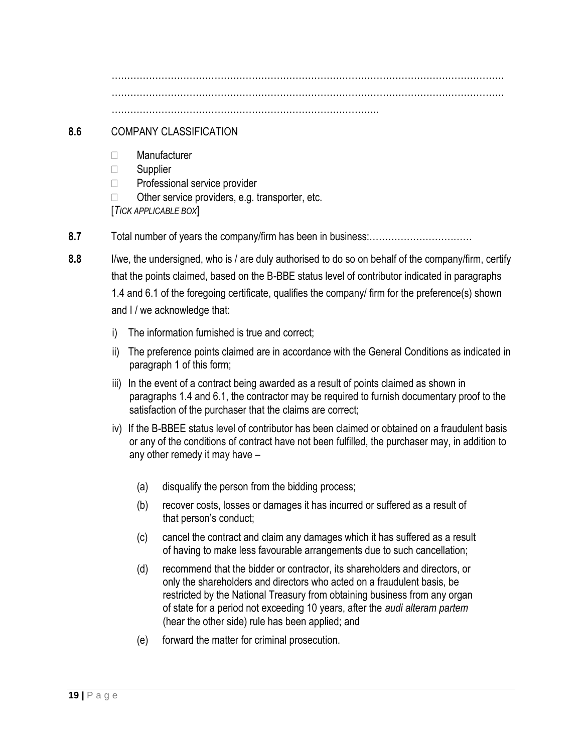……………………………………………………………………………………………………………… ……………………………………………………………………………………………………………… …………………………………………………………………………..

## **8.6** COMPANY CLASSIFICATION

- Manufacturer
- □ Supplier
- $\Box$  Professional service provider
- $\Box$  Other service providers, e.g. transporter, etc.

[*TICK APPLICABLE BOX*]

- **8.7** Total number of years the company/firm has been in business:……………………………
- **8.8** I/we, the undersigned, who is / are duly authorised to do so on behalf of the company/firm, certify that the points claimed, based on the B-BBE status level of contributor indicated in paragraphs 1.4 and 6.1 of the foregoing certificate, qualifies the company/ firm for the preference(s) shown and I / we acknowledge that:
	- i) The information furnished is true and correct;
	- ii) The preference points claimed are in accordance with the General Conditions as indicated in paragraph 1 of this form;
	- iii) In the event of a contract being awarded as a result of points claimed as shown in paragraphs 1.4 and 6.1, the contractor may be required to furnish documentary proof to the satisfaction of the purchaser that the claims are correct;
	- iv) If the B-BBEE status level of contributor has been claimed or obtained on a fraudulent basis or any of the conditions of contract have not been fulfilled, the purchaser may, in addition to any other remedy it may have –
		- (a) disqualify the person from the bidding process;
		- (b) recover costs, losses or damages it has incurred or suffered as a result of that person's conduct;
		- (c) cancel the contract and claim any damages which it has suffered as a result of having to make less favourable arrangements due to such cancellation;
		- (d) recommend that the bidder or contractor, its shareholders and directors, or only the shareholders and directors who acted on a fraudulent basis, be restricted by the National Treasury from obtaining business from any organ of state for a period not exceeding 10 years, after the *audi alteram partem* (hear the other side) rule has been applied; and
		- (e) forward the matter for criminal prosecution.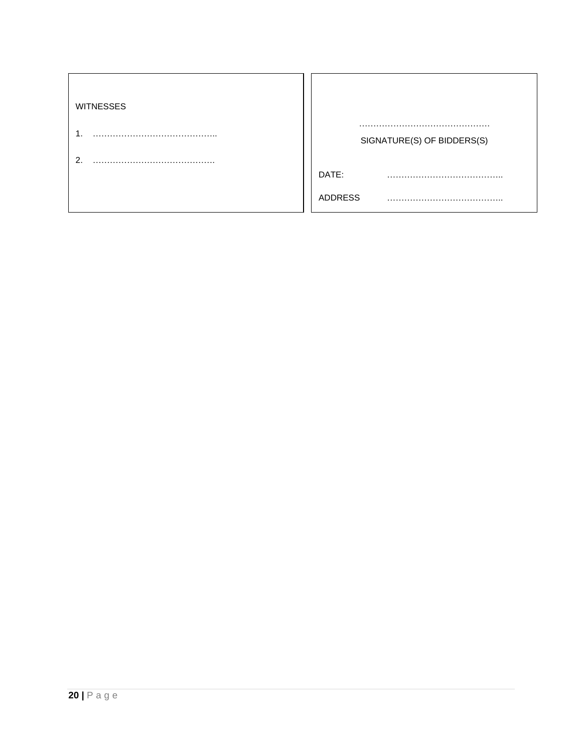| <b>WITNESSES</b> |                            |
|------------------|----------------------------|
|                  | SIGNATURE(S) OF BIDDERS(S) |
| ົ                |                            |
|                  | DATE:                      |
|                  | ADDRESS                    |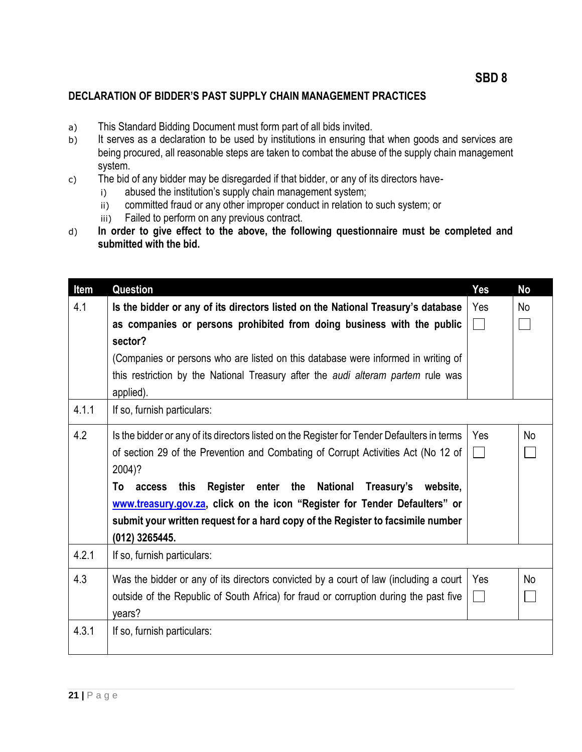## **DECLARATION OF BIDDER'S PAST SUPPLY CHAIN MANAGEMENT PRACTICES**

- a) This Standard Bidding Document must form part of all bids invited.
- b) It serves as a declaration to be used by institutions in ensuring that when goods and services are being procured, all reasonable steps are taken to combat the abuse of the supply chain management system.
- c) The bid of any bidder may be disregarded if that bidder, or any of its directors have
	- i) abused the institution's supply chain management system;
	- ii) committed fraud or any other improper conduct in relation to such system; or
	- iii) Failed to perform on any previous contract.
- d) **In order to give effect to the above, the following questionnaire must be completed and submitted with the bid.**

| Item  | Question                                                                                                                                                                                                                                                                                                                                                                                                                                                          | <b>Yes</b>            | <b>No</b> |
|-------|-------------------------------------------------------------------------------------------------------------------------------------------------------------------------------------------------------------------------------------------------------------------------------------------------------------------------------------------------------------------------------------------------------------------------------------------------------------------|-----------------------|-----------|
| 4.1   | Is the bidder or any of its directors listed on the National Treasury's database<br>as companies or persons prohibited from doing business with the public<br>sector?                                                                                                                                                                                                                                                                                             | Yes                   | No        |
|       | (Companies or persons who are listed on this database were informed in writing of<br>this restriction by the National Treasury after the <i>audi alteram partem</i> rule was<br>applied).                                                                                                                                                                                                                                                                         |                       |           |
| 4.1.1 | If so, furnish particulars:                                                                                                                                                                                                                                                                                                                                                                                                                                       |                       |           |
| 4.2   | Is the bidder or any of its directors listed on the Register for Tender Defaulters in terms<br>of section 29 of the Prevention and Combating of Corrupt Activities Act (No 12 of<br>2004)?<br>Register enter the<br>National<br>Treasury's<br>website,<br>To<br>this<br>access<br>www.treasury.gov.za, click on the icon "Register for Tender Defaulters" or<br>submit your written request for a hard copy of the Register to facsimile number<br>(012) 3265445. | Yes                   | <b>No</b> |
| 4.2.1 | If so, furnish particulars:                                                                                                                                                                                                                                                                                                                                                                                                                                       |                       |           |
| 4.3   | Was the bidder or any of its directors convicted by a court of law (including a court<br>outside of the Republic of South Africa) for fraud or corruption during the past five<br>vears?                                                                                                                                                                                                                                                                          | Yes<br>$\mathbb{R}^n$ | <b>No</b> |
| 4.3.1 | If so, furnish particulars:                                                                                                                                                                                                                                                                                                                                                                                                                                       |                       |           |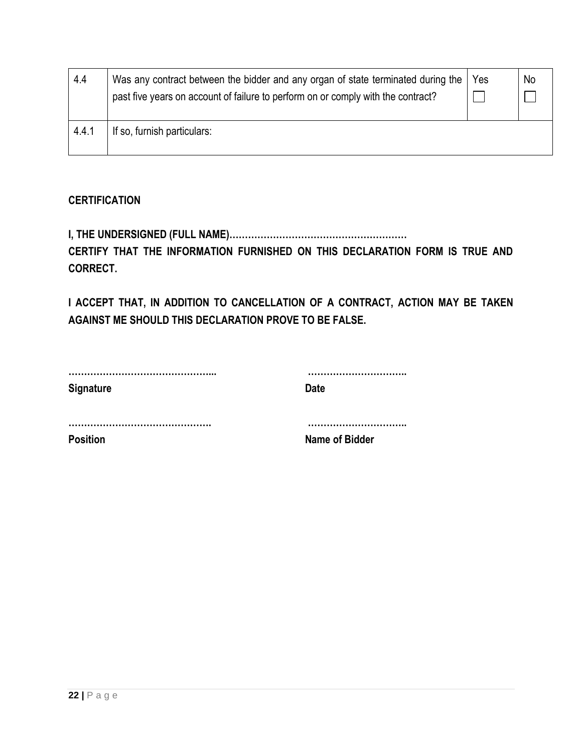| 4.4   | Was any contract between the bidder and any organ of state terminated during the<br>past five years on account of failure to perform on or comply with the contract? | Yes | No |
|-------|----------------------------------------------------------------------------------------------------------------------------------------------------------------------|-----|----|
| 4.4.1 | If so, furnish particulars:                                                                                                                                          |     |    |

# **CERTIFICATION**

**I, THE UNDERSIGNED (FULL NAME)…………………………………………………**

**CERTIFY THAT THE INFORMATION FURNISHED ON THIS DECLARATION FORM IS TRUE AND CORRECT.**

**I ACCEPT THAT, IN ADDITION TO CANCELLATION OF A CONTRACT, ACTION MAY BE TAKEN AGAINST ME SHOULD THIS DECLARATION PROVE TO BE FALSE.**

| <b>Signature</b> | <b>Date</b>    |
|------------------|----------------|
|                  |                |
| <b>Position</b>  | Name of Bidder |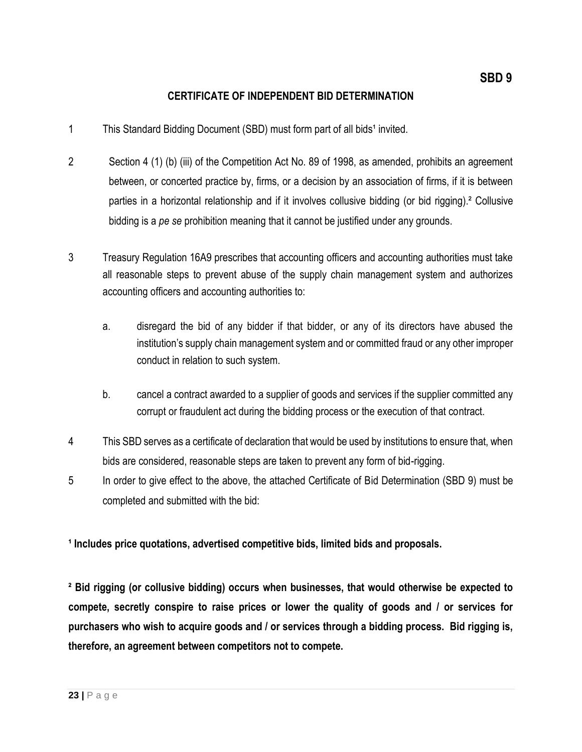### **CERTIFICATE OF INDEPENDENT BID DETERMINATION**

- 1 This Standard Bidding Document (SBD) must form part of all bids<sup>1</sup> invited.
- 2 Section 4 (1) (b) (iii) of the Competition Act No. 89 of 1998, as amended, prohibits an agreement between, or concerted practice by, firms, or a decision by an association of firms, if it is between parties in a horizontal relationship and if it involves collusive bidding (or bid rigging).² Collusive bidding is a *pe se* prohibition meaning that it cannot be justified under any grounds.
- 3 Treasury Regulation 16A9 prescribes that accounting officers and accounting authorities must take all reasonable steps to prevent abuse of the supply chain management system and authorizes accounting officers and accounting authorities to:
	- a. disregard the bid of any bidder if that bidder, or any of its directors have abused the institution's supply chain management system and or committed fraud or any other improper conduct in relation to such system.
	- b. cancel a contract awarded to a supplier of goods and services if the supplier committed any corrupt or fraudulent act during the bidding process or the execution of that contract.
- 4 This SBD serves as a certificate of declaration that would be used by institutions to ensure that, when bids are considered, reasonable steps are taken to prevent any form of bid-rigging.
- 5 In order to give effect to the above, the attached Certificate of Bid Determination (SBD 9) must be completed and submitted with the bid:

**¹ Includes price quotations, advertised competitive bids, limited bids and proposals.**

**² Bid rigging (or collusive bidding) occurs when businesses, that would otherwise be expected to compete, secretly conspire to raise prices or lower the quality of goods and / or services for purchasers who wish to acquire goods and / or services through a bidding process. Bid rigging is, therefore, an agreement between competitors not to compete.**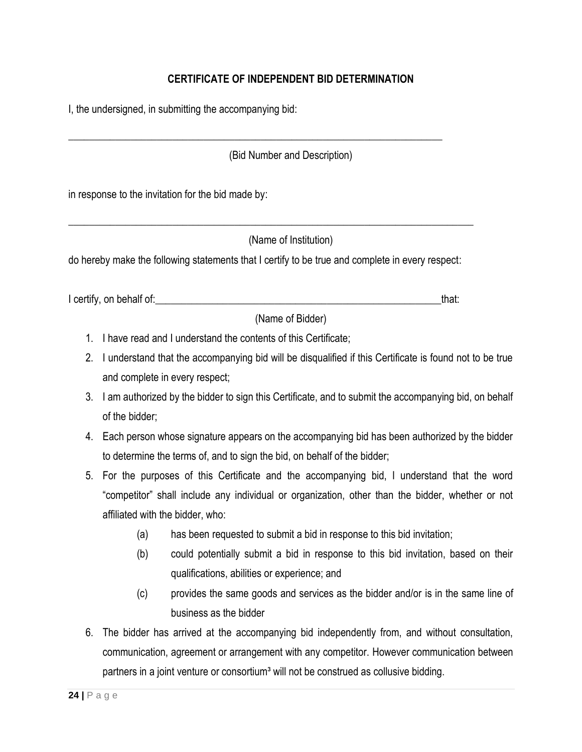# **CERTIFICATE OF INDEPENDENT BID DETERMINATION**

I, the undersigned, in submitting the accompanying bid:

(Bid Number and Description)

in response to the invitation for the bid made by:

(Name of Institution)

do hereby make the following statements that I certify to be true and complete in every respect:

\_\_\_\_\_\_\_\_\_\_\_\_\_\_\_\_\_\_\_\_\_\_\_\_\_\_\_\_\_\_\_\_\_\_\_\_\_\_\_\_\_\_\_\_\_\_\_\_\_\_\_\_\_\_\_\_\_\_\_\_\_\_\_\_\_\_\_\_\_\_\_\_\_\_\_\_\_\_

\_\_\_\_\_\_\_\_\_\_\_\_\_\_\_\_\_\_\_\_\_\_\_\_\_\_\_\_\_\_\_\_\_\_\_\_\_\_\_\_\_\_\_\_\_\_\_\_\_\_\_\_\_\_\_\_\_\_\_\_\_\_\_\_\_\_\_\_\_\_\_\_

I certify, on behalf of: the state of the state of the state of the state of the state of the state of the stat

(Name of Bidder)

- 1. I have read and I understand the contents of this Certificate;
- 2. I understand that the accompanying bid will be disqualified if this Certificate is found not to be true and complete in every respect;
- 3. I am authorized by the bidder to sign this Certificate, and to submit the accompanying bid, on behalf of the bidder;
- 4. Each person whose signature appears on the accompanying bid has been authorized by the bidder to determine the terms of, and to sign the bid, on behalf of the bidder;
- 5. For the purposes of this Certificate and the accompanying bid, I understand that the word "competitor" shall include any individual or organization, other than the bidder, whether or not affiliated with the bidder, who:
	- (a) has been requested to submit a bid in response to this bid invitation;
	- (b) could potentially submit a bid in response to this bid invitation, based on their qualifications, abilities or experience; and
	- (c) provides the same goods and services as the bidder and/or is in the same line of business as the bidder
- 6. The bidder has arrived at the accompanying bid independently from, and without consultation, communication, agreement or arrangement with any competitor. However communication between partners in a joint venture or consortium<sup>3</sup> will not be construed as collusive bidding.